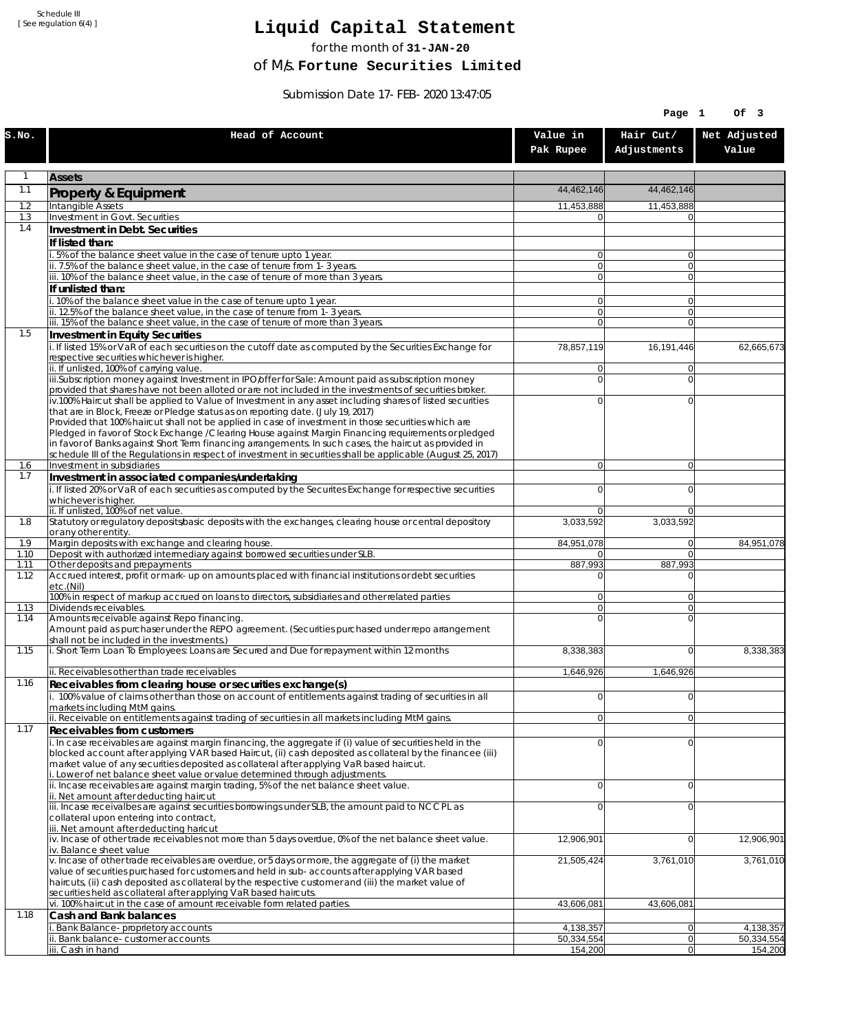Schedule III [ See regulation 6(4) ]

## **Liquid Capital Statement**

for the month of **31-JAN-20**

of M/s. **Fortune Securities Limited**

Submission Date 17-FEB-2020 13:47:05

|              |                                                                                                                                                                                                                       |                                  | Page 1                           | Of 3                  |
|--------------|-----------------------------------------------------------------------------------------------------------------------------------------------------------------------------------------------------------------------|----------------------------------|----------------------------------|-----------------------|
| S.NO.        | Head of Account                                                                                                                                                                                                       | Value in<br>Pak Rupee            | Hair Cut/<br>Adjustments         | Net Adjusted<br>Value |
| 1            | <b>Assets</b>                                                                                                                                                                                                         |                                  |                                  |                       |
| 1.1          | Property & Equipment                                                                                                                                                                                                  | 44,462,146                       | 44,462,146                       |                       |
| 1.2          | Intangible Assets                                                                                                                                                                                                     | 11,453,888                       | 11,453,888                       |                       |
| 1.3<br>1.4   | Investment in Govt. Securities<br>Investment in Debt. Securities                                                                                                                                                      | $\Omega$                         | $\Omega$                         |                       |
|              | If listed than:                                                                                                                                                                                                       |                                  |                                  |                       |
|              | i. 5% of the balance sheet value in the case of tenure upto 1 year.                                                                                                                                                   | $\overline{0}$                   | $\overline{0}$                   |                       |
|              | ii. 7.5% of the balance sheet value, in the case of tenure from 1-3 years.<br>iii. 10% of the balance sheet value, in the case of tenure of more than 3 years.                                                        | $\overline{0}$<br>$\overline{0}$ | $\overline{0}$<br>$\overline{0}$ |                       |
|              | If unlisted than:                                                                                                                                                                                                     |                                  |                                  |                       |
|              | i. 10% of the balance sheet value in the case of tenure upto 1 year.                                                                                                                                                  | $\overline{0}$                   | $\Omega$                         |                       |
|              | ii. 12.5% of the balance sheet value, in the case of tenure from 1-3 years.<br>iii. 15% of the balance sheet value, in the case of tenure of more than 3 years.                                                       | 0 <br>$\overline{0}$             | $\overline{0}$<br>$\overline{0}$ |                       |
| 1.5          | Investment in Equity Securities                                                                                                                                                                                       |                                  |                                  |                       |
|              | i. If listed 15% or VaR of each securities on the cutoff date as computed by the Securities Exchange for                                                                                                              | 78,857,119                       | 16,191,446                       | 62,665,673            |
|              | respective securities whichever is higher.<br>ii. If unlisted, 100% of carrying value.                                                                                                                                | $\overline{0}$                   | $\Omega$                         |                       |
|              | iii.Subscription money against Investment in IPO/offer for Sale: Amount paid as subscription money                                                                                                                    | $\overline{0}$                   | $\Omega$                         |                       |
|              | provided that shares have not been alloted or are not included in the investments of securities broker.<br>iv.100% Haircut shall be applied to Value of Investment in any asset including shares of listed securities | $\overline{0}$                   | $\mathbf{0}$                     |                       |
|              | that are in Block, Freeze or Pledge status as on reporting date. (July 19, 2017)                                                                                                                                      |                                  |                                  |                       |
|              | Provided that 100% haircut shall not be applied in case of investment in those securities which are                                                                                                                   |                                  |                                  |                       |
|              | Pledged in favor of Stock Exchange / Clearing House against Margin Financing requirements or pledged<br>in favor of Banks against Short Term financing arrangements. In such cases, the haircut as provided in        |                                  |                                  |                       |
|              | schedule III of the Regulations in respect of investment in securities shall be applicable (August 25, 2017)                                                                                                          |                                  |                                  |                       |
| 1.6<br>1.7   | Investment in subsidiaries<br>Investment in associated companies/undertaking                                                                                                                                          | $\overline{0}$                   | $\overline{0}$                   |                       |
|              | i. If listed 20% or VaR of each securities as computed by the Securites Exchange for respective securities                                                                                                            | $\overline{0}$                   | $\mathbf{0}$                     |                       |
|              | whichever is higher.                                                                                                                                                                                                  |                                  |                                  |                       |
| 1.8          | ii. If unlisted, 100% of net value.<br>Statutory or regulatory deposits/basic deposits with the exchanges, clearing house or central depository                                                                       | $\overline{0}$<br>3,033,592      | $\Omega$<br>3,033,592            |                       |
|              | or any other entity.                                                                                                                                                                                                  |                                  |                                  |                       |
| 1.9<br>1.10  | Margin deposits with exchange and clearing house.<br>Deposit with authorized intermediary against borrowed securities under SLB.                                                                                      | 84,951,078<br>01                 | 0 <br>$\Omega$                   | 84,951,078            |
| 1.11         | Other deposits and prepayments                                                                                                                                                                                        | 887,993                          | 887,993                          |                       |
| 1.12         | Accrued interest, profit or mark-up on amounts placed with financial institutions or debt securities<br>etc.(Nil)                                                                                                     | $\overline{0}$                   | $\Omega$                         |                       |
|              | 100% in respect of markup accrued on loans to directors, subsidiaries and other related parties                                                                                                                       | $\overline{0}$                   | $\Omega$                         |                       |
| 1.13<br>1.14 | Dividends receivables.<br>Amounts receivable against Repo financing.                                                                                                                                                  | $\overline{0}$<br>$\overline{0}$ | $\Omega$<br>$\mathbf{0}$         |                       |
|              | Amount paid as purchaser under the REPO agreement. (Securities purchased under repo arrangement                                                                                                                       |                                  |                                  |                       |
|              | shall not be included in the investments.)                                                                                                                                                                            |                                  |                                  |                       |
| 1.15         | i. Short Term Loan To Employees: Loans are Secured and Due for repayment within 12 months                                                                                                                             | 8,338,383                        | $\Omega$                         | 8,338,383             |
|              | ii. Receivables other than trade receivables                                                                                                                                                                          | 1,646,926                        | 1.646.926                        |                       |
| 1.16         | Receivables from clearing house or securities exchange(s)<br>i. 100% value of claims other than those on account of entitlements against trading of securities in all                                                 | $\overline{0}$                   | $\overline{0}$                   |                       |
|              | markets including MtM gains.                                                                                                                                                                                          |                                  |                                  |                       |
|              | ii. Receivable on entitlements against trading of securities in all markets including MtM gains.                                                                                                                      | $\overline{0}$                   | 0                                |                       |
| 1.17         | Receivables from customers<br>i. In case receivables are against margin financing, the aggregate if (i) value of securities held in the                                                                               | $\overline{0}$                   | $\Omega$                         |                       |
|              | blocked account after applying VAR based Haircut, (ii) cash deposited as collateral by the financee (iii)                                                                                                             |                                  |                                  |                       |
|              | market value of any securities deposited as collateral after applying VaR based haircut.<br>i. Lower of net balance sheet value or value determined through adjustments.                                              |                                  |                                  |                       |
|              | ii. Incase receivables are against margin trading, 5% of the net balance sheet value.                                                                                                                                 | $\overline{0}$                   | $\overline{0}$                   |                       |
|              | ii. Net amount after deducting haircut                                                                                                                                                                                |                                  |                                  |                       |
|              | iii. Incase receivalbes are against securities borrowings under SLB, the amount paid to NCCPL as<br>collateral upon entering into contract,                                                                           | $\overline{0}$                   | $\mathbf{0}$                     |                       |
|              | iii. Net amount after deducting haricut                                                                                                                                                                               |                                  |                                  |                       |
|              | iv. Incase of other trade receivables not more than 5 days overdue, 0% of the net balance sheet value.<br>iv. Balance sheet value                                                                                     | 12,906,901                       | 0                                | 12,906,901            |
|              | v. Incase of other trade receivables are overdue, or 5 days or more, the aggregate of (i) the market                                                                                                                  | 21,505,424                       | 3,761,010                        | 3,761,010             |
|              | value of securities purchased for customers and held in sub-accounts after applying VAR based<br>haircuts, (ii) cash deposited as collateral by the respective customer and (iii) the market value of                 |                                  |                                  |                       |
|              | securities held as collateral after applying VaR based haircuts.                                                                                                                                                      |                                  |                                  |                       |
| 1.18         | vi. 100% haircut in the case of amount receivable form related parties.                                                                                                                                               | 43,606,081                       | 43,606,081                       |                       |
|              | Cash and Bank balances<br>i. Bank Balance-proprietory accounts                                                                                                                                                        | 4,138,357                        | 0                                | 4,138,357             |
|              | ii. Bank balance-customer accounts                                                                                                                                                                                    | 50,334,554                       | 0                                | 50,334,554            |
|              | iii. Cash in hand                                                                                                                                                                                                     | 154,200                          | 0                                | 154,200               |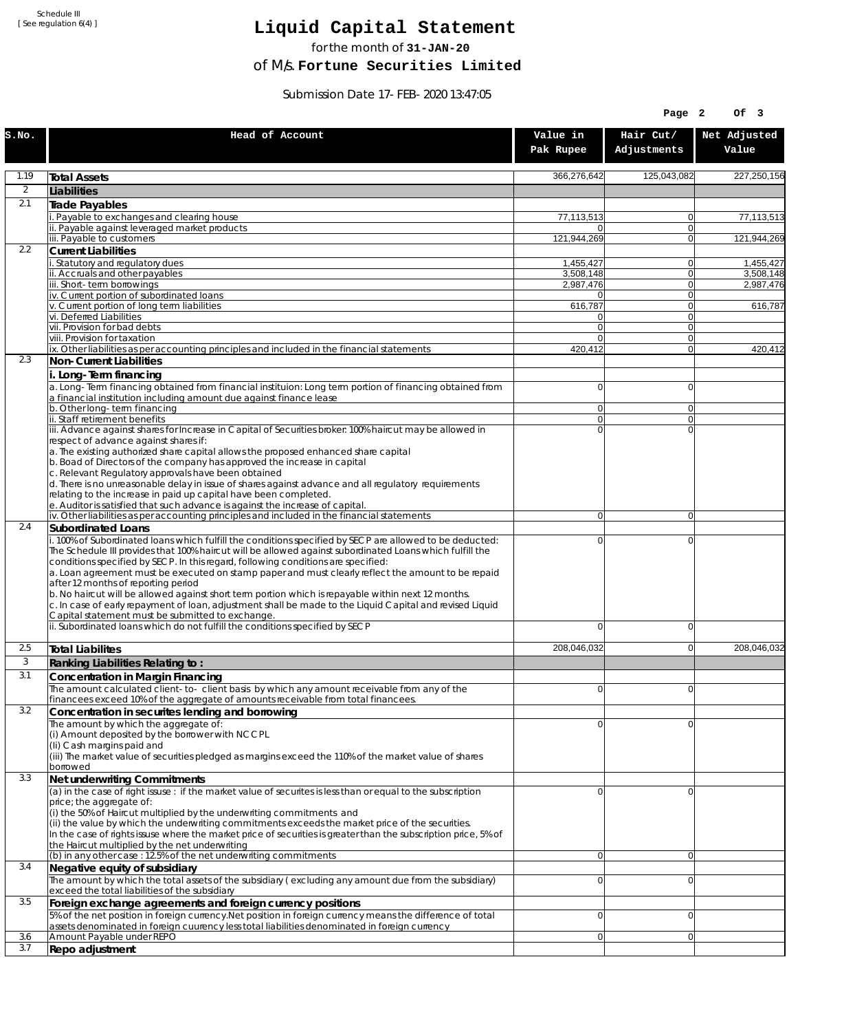Schedule III [ See regulation 6(4) ]

## **Liquid Capital Statement**

for the month of **31-JAN-20**

of M/s. **Fortune Securities Limited**

Submission Date 17-FEB-2020 13:47:05

|              |                                                                                                                                                                                                                                                                                                                                                                                                                                                                                                                                                                                                                                                                                                                                                                                                             |                        | Page 2                     | Of 3                   |
|--------------|-------------------------------------------------------------------------------------------------------------------------------------------------------------------------------------------------------------------------------------------------------------------------------------------------------------------------------------------------------------------------------------------------------------------------------------------------------------------------------------------------------------------------------------------------------------------------------------------------------------------------------------------------------------------------------------------------------------------------------------------------------------------------------------------------------------|------------------------|----------------------------|------------------------|
| S.NO.        | Head of Account                                                                                                                                                                                                                                                                                                                                                                                                                                                                                                                                                                                                                                                                                                                                                                                             | Value in<br>Pak Rupee  | Hair Cut/<br>Adjustments   | Net Adjusted<br>Value  |
| 1.19         | <b>Total Assets</b>                                                                                                                                                                                                                                                                                                                                                                                                                                                                                                                                                                                                                                                                                                                                                                                         | 366,276,642            | 125,043,082                | 227,250,156            |
| 2            | Liabilities                                                                                                                                                                                                                                                                                                                                                                                                                                                                                                                                                                                                                                                                                                                                                                                                 |                        |                            |                        |
| 2.1          | Trade Payables                                                                                                                                                                                                                                                                                                                                                                                                                                                                                                                                                                                                                                                                                                                                                                                              |                        |                            |                        |
|              | Payable to exchanges and clearing house                                                                                                                                                                                                                                                                                                                                                                                                                                                                                                                                                                                                                                                                                                                                                                     | 77,113,513             | $\overline{0}$             | 77,113,513             |
|              | ii. Payable against leveraged market products<br>iii. Payable to customers                                                                                                                                                                                                                                                                                                                                                                                                                                                                                                                                                                                                                                                                                                                                  | n<br>121,944,269       | $\Omega$<br>$\Omega$       | 121,944,269            |
| 2.2          | <b>Current Liabilities</b>                                                                                                                                                                                                                                                                                                                                                                                                                                                                                                                                                                                                                                                                                                                                                                                  |                        |                            |                        |
|              | . Statutory and regulatory dues                                                                                                                                                                                                                                                                                                                                                                                                                                                                                                                                                                                                                                                                                                                                                                             | 1,455,427              | 0                          | 1.455.427              |
|              | ii. Accruals and other payables<br>iii. Short-term borrowings                                                                                                                                                                                                                                                                                                                                                                                                                                                                                                                                                                                                                                                                                                                                               | 3,508,148<br>2,987,476 | $\Omega$<br> 0             | 3,508,148<br>2,987,476 |
|              | iv. Current portion of subordinated loans                                                                                                                                                                                                                                                                                                                                                                                                                                                                                                                                                                                                                                                                                                                                                                   | 0                      | $\Omega$                   |                        |
|              | v. Current portion of long term liabilities                                                                                                                                                                                                                                                                                                                                                                                                                                                                                                                                                                                                                                                                                                                                                                 | 616,787                | $\Omega$                   | 616,787                |
|              | vi. Deferred Liabilities<br>vii. Provision for bad debts                                                                                                                                                                                                                                                                                                                                                                                                                                                                                                                                                                                                                                                                                                                                                    | 0<br>$\overline{0}$    | 0 <br>$\Omega$             |                        |
|              | viii. Provision for taxation                                                                                                                                                                                                                                                                                                                                                                                                                                                                                                                                                                                                                                                                                                                                                                                | 0                      | $\Omega$                   |                        |
|              | ix. Other liabilities as per accounting principles and included in the financial statements                                                                                                                                                                                                                                                                                                                                                                                                                                                                                                                                                                                                                                                                                                                 | 420,412                | $\Omega$                   | 420,412                |
| 2.3          | Non-Current Liabilities                                                                                                                                                                                                                                                                                                                                                                                                                                                                                                                                                                                                                                                                                                                                                                                     |                        |                            |                        |
|              | i. Long-Term financing<br>a. Long-Term financing obtained from financial instituion: Long term portion of financing obtained from<br>a financial institution including amount due against finance lease                                                                                                                                                                                                                                                                                                                                                                                                                                                                                                                                                                                                     | 0                      | $\Omega$                   |                        |
|              | b. Other long-term financing<br>ii. Staff retirement benefits                                                                                                                                                                                                                                                                                                                                                                                                                                                                                                                                                                                                                                                                                                                                               | 0<br>$\overline{0}$    | $\Omega$<br>$\Omega$       |                        |
|              | iii. Advance against shares for Increase in Capital of Securities broker: 100% haircut may be allowed in                                                                                                                                                                                                                                                                                                                                                                                                                                                                                                                                                                                                                                                                                                    | $\Omega$               | $\Omega$                   |                        |
|              | respect of advance against shares if:<br>a. The existing authorized share capital allows the proposed enhanced share capital<br>b. Boad of Directors of the company has approved the increase in capital<br>c. Relevant Regulatory approvals have been obtained<br>d. There is no unreasonable delay in issue of shares against advance and all regulatory requirements<br>relating to the increase in paid up capital have been completed.<br>e. Auditor is satisfied that such advance is against the increase of capital.                                                                                                                                                                                                                                                                                |                        |                            |                        |
|              | iv. Other liabilities as per accounting principles and included in the financial statements                                                                                                                                                                                                                                                                                                                                                                                                                                                                                                                                                                                                                                                                                                                 | $\overline{0}$         | $\overline{0}$             |                        |
| 2.4          | Subordinated Loans                                                                                                                                                                                                                                                                                                                                                                                                                                                                                                                                                                                                                                                                                                                                                                                          |                        |                            |                        |
|              | . 100% of Subordinated loans which fulfill the conditions specified by SECP are allowed to be deducted:<br>The Schedule III provides that 100% haircut will be allowed against subordinated Loans which fulfill the<br>conditions specified by SECP. In this regard, following conditions are specified:<br>a. Loan agreement must be executed on stamp paper and must clearly reflect the amount to be repaid<br>after 12 months of reporting period<br>b. No haircut will be allowed against short term portion which is repayable within next 12 months.<br>c. In case of early repayment of loan, adjustment shall be made to the Liquid Capital and revised Liquid<br>Capital statement must be submitted to exchange.<br>ii. Subordinated loans which do not fulfill the conditions specified by SECP | 0<br>0                 | $\mathbf 0$<br>$\mathbf 0$ |                        |
| 2.5          | <b>Total Liabilites</b>                                                                                                                                                                                                                                                                                                                                                                                                                                                                                                                                                                                                                                                                                                                                                                                     | 208,046,032            | $\mathbf 0$                | 208,046,032            |
| $\mathbf{3}$ |                                                                                                                                                                                                                                                                                                                                                                                                                                                                                                                                                                                                                                                                                                                                                                                                             |                        |                            |                        |
| 3.1          | Ranking Liabilities Relating to:<br>Concentration in Margin Financing                                                                                                                                                                                                                                                                                                                                                                                                                                                                                                                                                                                                                                                                                                                                       |                        |                            |                        |
|              | The amount calculated client-to-client basis by which any amount receivable from any of the                                                                                                                                                                                                                                                                                                                                                                                                                                                                                                                                                                                                                                                                                                                 | $\Omega$               | $\Omega$                   |                        |
|              | financees exceed 10% of the aggregate of amounts receivable from total financees.                                                                                                                                                                                                                                                                                                                                                                                                                                                                                                                                                                                                                                                                                                                           |                        |                            |                        |
| 3.2          | Concentration in securites lending and borrowing                                                                                                                                                                                                                                                                                                                                                                                                                                                                                                                                                                                                                                                                                                                                                            |                        |                            |                        |
|              | The amount by which the aggregate of:<br>(i) Amount deposited by the borrower with NCCPL<br>(Ii) Cash margins paid and<br>(iii) The market value of securities pledged as margins exceed the 110% of the market value of shares<br>borrowed                                                                                                                                                                                                                                                                                                                                                                                                                                                                                                                                                                 | 0                      | $\Omega$                   |                        |
| 3.3          | Net underwriting Commitments                                                                                                                                                                                                                                                                                                                                                                                                                                                                                                                                                                                                                                                                                                                                                                                |                        |                            |                        |
|              | (a) in the case of right issuse : if the market value of securites is less than or equal to the subscription<br>price; the aggregate of:<br>(i) the 50% of Haircut multiplied by the underwriting commitments and<br>(ii) the value by which the underwriting commitments exceeds the market price of the securities.<br>In the case of rights issuse where the market price of securities is greater than the subscription price, 5% of<br>the Haircut multiplied by the net underwriting                                                                                                                                                                                                                                                                                                                  | 0                      | $\Omega$                   |                        |
| 3.4          | (b) in any other case : 12.5% of the net underwriting commitments<br>Negative equity of subsidiary                                                                                                                                                                                                                                                                                                                                                                                                                                                                                                                                                                                                                                                                                                          | $\overline{0}$         | $\overline{0}$             |                        |
|              | The amount by which the total assets of the subsidiary (excluding any amount due from the subsidiary)<br>exceed the total liabilities of the subsidiary                                                                                                                                                                                                                                                                                                                                                                                                                                                                                                                                                                                                                                                     | 0                      | $\Omega$                   |                        |
| 3.5          | Foreign exchange agreements and foreign currency positions                                                                                                                                                                                                                                                                                                                                                                                                                                                                                                                                                                                                                                                                                                                                                  |                        |                            |                        |
|              | 5% of the net position in foreign currency. Net position in foreign currency means the difference of total<br>assets denominated in foreign cuurency less total liabilities denominated in foreign currency                                                                                                                                                                                                                                                                                                                                                                                                                                                                                                                                                                                                 | 0                      | $\mathbf 0$                |                        |
| 3.6          | Amount Payable under REPO                                                                                                                                                                                                                                                                                                                                                                                                                                                                                                                                                                                                                                                                                                                                                                                   | 0                      | $\Omega$                   |                        |
| 3.7          | Repo adjustment                                                                                                                                                                                                                                                                                                                                                                                                                                                                                                                                                                                                                                                                                                                                                                                             |                        |                            |                        |